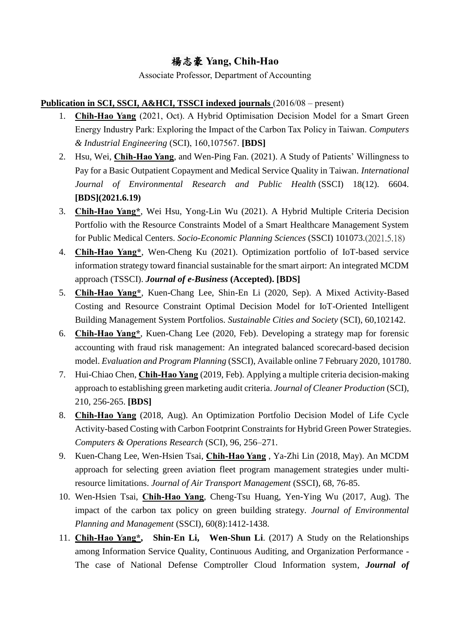# 楊志豪 **Yang, Chih-Hao**

Associate Professor, Department of Accounting

# **Publication in SCI, SSCI, A&HCI, TSSCI indexed journals** (2016/08 – present)

- 1. **Chih-Hao Yang** (2021, Oct). A Hybrid Optimisation Decision Model for a Smart Green Energy Industry Park: Exploring the Impact of the Carbon Tax Policy in Taiwan. *Computers & Industrial Engineering* (SCI), 160,107567. **[BDS]**
- 2. Hsu, Wei, **Chih-Hao Yang**, and Wen-Ping Fan. (2021). A Study of Patients' Willingness to Pay for a Basic Outpatient Copayment and Medical Service Quality in Taiwan. *International Journal of Environmental Research and Public Health* (SSCI) 18(12). 6604. **[BDS](2021.6.19)**
- 3. **Chih-Hao Yang\***, Wei Hsu, Yong-Lin Wu (2021). A Hybrid Multiple Criteria Decision Portfolio with the Resource Constraints Model of a Smart Healthcare Management System for Public Medical Centers. *Socio-Economic Planning Sciences* (SSCI) 101073.(2021.5.18)
- 4. **Chih-Hao Yang\***, Wen-Cheng Ku (2021). Optimization portfolio of IoT-based service information strategy toward financial sustainable for the smart airport: An integrated MCDM approach (TSSCI). *Journal of e-Business* **(Accepted). [BDS]**
- 5. **Chih-Hao Yang\***, Kuen-Chang Lee, Shin-En Li (2020, Sep). A Mixed Activity-Based Costing and Resource Constraint Optimal Decision Model for IoT-Oriented Intelligent Building Management System Portfolios. *Sustainable Cities and Society* (SCI), 60,102142.
- 6. **Chih-Hao Yang\***, Kuen-Chang Lee (2020, Feb). Developing a strategy map for forensic accounting with fraud risk management: An integrated balanced scorecard-based decision model. *Evaluation and Program Planning* (SSCI), Available online 7 February 2020, 101780.
- 7. Hui-Chiao Chen, **Chih-Hao Yang** (2019, Feb). Applying a multiple criteria decision-making approach to establishing green marketing audit criteria. *Journal of Cleaner Production* (SCI), 210, 256-265. **[BDS]**
- 8. **Chih-Hao Yang** (2018, Aug). An Optimization Portfolio Decision Model of Life Cycle Activity-based Costing with Carbon Footprint Constraints for Hybrid Green Power Strategies. *Computers & Operations Research* (SCI), 96, 256–271.
- 9. Kuen-Chang Lee, Wen-Hsien Tsai, **Chih-Hao Yang** , Ya-Zhi Lin (2018, May). An MCDM approach for selecting green aviation fleet program management strategies under multiresource limitations. *Journal of Air Transport Management* (SSCI), 68, 76-85.
- 10. Wen-Hsien Tsai, **Chih-Hao Yang**, Cheng-Tsu Huang, Yen-Ying Wu (2017, Aug). The impact of the carbon tax policy on green building strategy. *Journal of Environmental Planning and Management* (SSCI), 60(8):1412-1438.
- 11. **Chih-Hao Yang\*, Shin-En Li, Wen-Shun Li**. (2017) A Study on the Relationships among Information Service Quality, Continuous Auditing, and Organization Performance - The case of National Defense Comptroller Cloud Information system, *Journal of*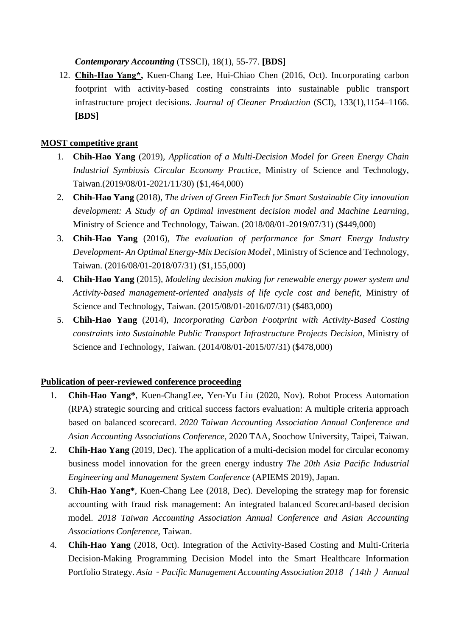*Contemporary Accounting* (TSSCI), 18(1), 55-77. **[BDS]**

12. **Chih-Hao Yang\*,** Kuen-Chang Lee, Hui-Chiao Chen (2016, Oct). Incorporating carbon footprint with activity-based costing constraints into sustainable public transport infrastructure project decisions. *Journal of Cleaner Production* (SCI), 133(1),1154–1166. **[BDS]**

### **MOST competitive grant**

- 1. **Chih-Hao Yang** (2019)*, Application of a Multi-Decision Model for Green Energy Chain Industrial Symbiosis Circular Economy Practice*, Ministry of Science and Technology, Taiwan.(2019/08/01-2021/11/30) (\$1,464,000)
- 2. **Chih-Hao Yang** (2018)*, The driven of Green FinTech for Smart Sustainable City innovation development: A Study of an Optimal investment decision model and Machine Learning*, Ministry of Science and Technology, Taiwan. (2018/08/01-2019/07/31) (\$449,000)
- 3. **Chih-Hao Yang** (2016)*, The evaluation of performance for Smart Energy Industry Development- An Optimal Energy-Mix Decision Model* , Ministry of Science and Technology, Taiwan. (2016/08/01-2018/07/31) (\$1,155,000)
- 4. **Chih-Hao Yang** (2015)*, Modeling decision making for renewable energy power system and Activity-based management-oriented analysis of life cycle cost and benefit,* Ministry of Science and Technology, Taiwan. (2015/08/01-2016/07/31) (\$483,000)
- 5. **Chih-Hao Yang** (2014), *Incorporating Carbon Footprint with Activity-Based Costing constraints into Sustainable Public Transport Infrastructure Projects Decision*, Ministry of Science and Technology, Taiwan. (2014/08/01-2015/07/31) (\$478,000)

#### **Publication of peer-reviewed conference proceeding**

- 1. **Chih-Hao Yang\***, Kuen-ChangLee, Yen-Yu Liu (2020, Nov). Robot Process Automation (RPA) strategic sourcing and critical success factors evaluation: A multiple criteria approach based on balanced scorecard. *2020 Taiwan Accounting Association Annual Conference and Asian Accounting Associations Conference,* 2020 TAA, Soochow University, Taipei, Taiwan.
- 2. **Chih-Hao Yang** (2019, Dec). The application of a multi-decision model for circular economy business model innovation for the green energy industry *The 20th Asia Pacific Industrial Engineering and Management System Conference* (APIEMS 2019), Japan.
- 3. **Chih-Hao Yang\***, Kuen-Chang Lee (2018, Dec). Developing the strategy map for forensic accounting with fraud risk management: An integrated balanced Scorecard-based decision model. *2018 Taiwan Accounting Association Annual Conference and Asian Accounting Associations Conference*, Taiwan.
- 4. **Chih-Hao Yang** (2018, Oct). Integration of the Activity-Based Costing and Multi-Criteria Decision-Making Programming Decision Model into the Smart Healthcare Information Portfolio Strategy. *Asia*-*Pacific Management Accounting Association 2018* (*14th*) *Annual*